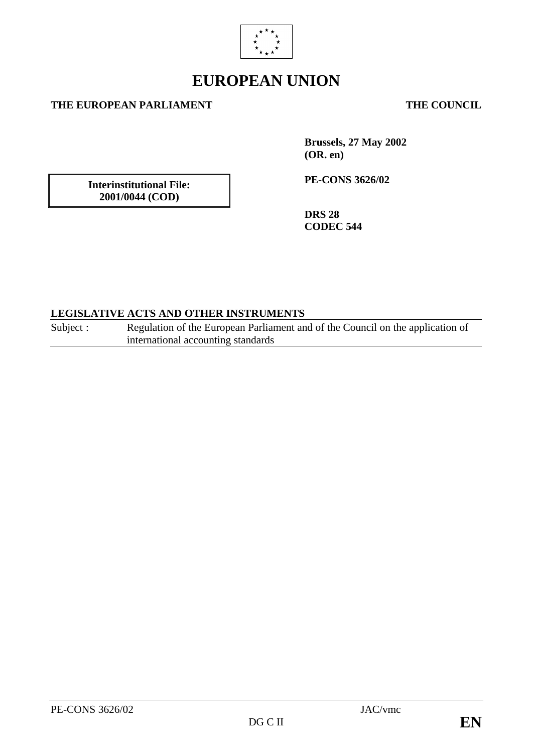

# **EUROPEAN UNION**

#### **THE EUROPEAN PARLIAMENT THE COUNCIL**

**Interinstitutional File: 2001/0044 (COD)**

**Brussels, 27 May 2002 (OR. en)**

**PE-CONS 3626/02**

**DRS 28 CODEC 544**

#### **LEGISLATIVE ACTS AND OTHER INSTRUMENTS**

Subject : Regulation of the European Parliament and of the Council on the application of international accounting standards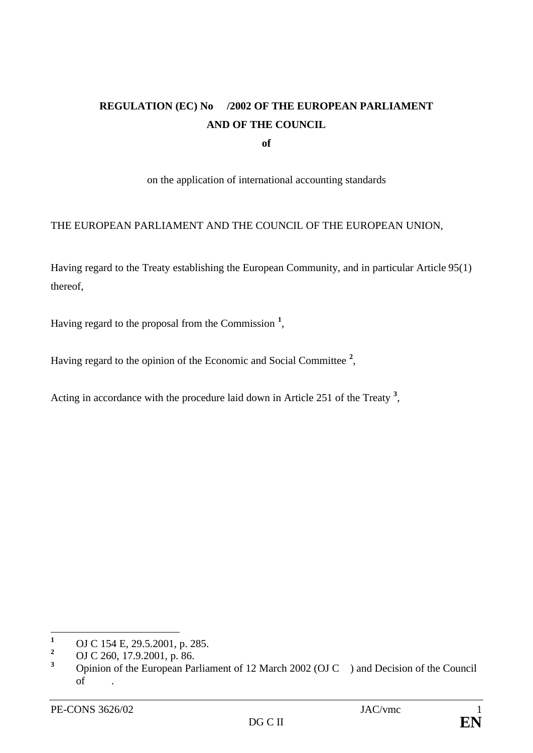# **REGULATION (EC) No /2002 OF THE EUROPEAN PARLIAMENT AND OF THE COUNCIL**

**of**

on the application of international accounting standards

#### THE EUROPEAN PARLIAMENT AND THE COUNCIL OF THE EUROPEAN UNION,

Having regard to the Treaty establishing the European Community, and in particular Article 95(1) thereof,

Having regard to the proposal from the Commission **<sup>1</sup>** ,

Having regard to the opinion of the Economic and Social Committee **<sup>2</sup>** ,

Acting in accordance with the procedure laid down in Article 251 of the Treaty **<sup>3</sup>** ,

 $\mathbf{1}$ <sup>1</sup> OJ C 154 E, 29.5.2001, p. 285.

<sup>&</sup>lt;sup>2</sup> OJ C 260, 17.9.2001, p. 86.

**<sup>3</sup>** Opinion of the European Parliament of 12 March 2002 (OJ C ) and Decision of the Council of .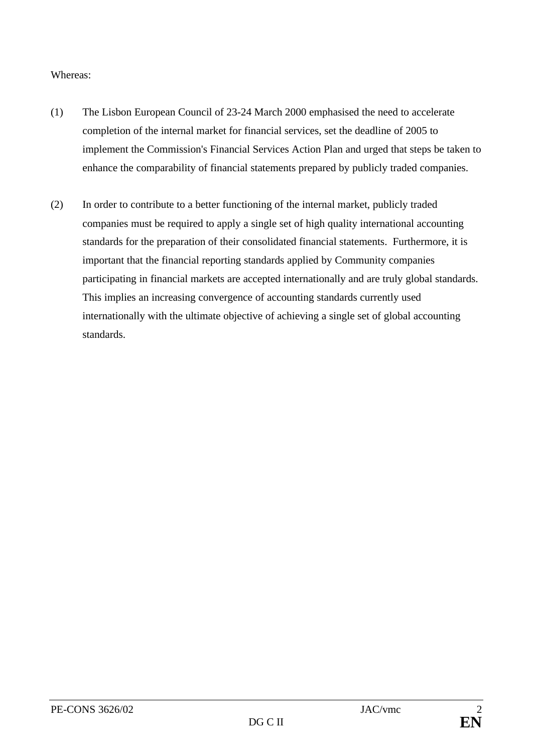#### Whereas:

- (1) The Lisbon European Council of 23-24 March 2000 emphasised the need to accelerate completion of the internal market for financial services, set the deadline of 2005 to implement the Commission's Financial Services Action Plan and urged that steps be taken to enhance the comparability of financial statements prepared by publicly traded companies.
- (2) In order to contribute to a better functioning of the internal market, publicly traded companies must be required to apply a single set of high quality international accounting standards for the preparation of their consolidated financial statements. Furthermore, it is important that the financial reporting standards applied by Community companies participating in financial markets are accepted internationally and are truly global standards. This implies an increasing convergence of accounting standards currently used internationally with the ultimate objective of achieving a single set of global accounting standards.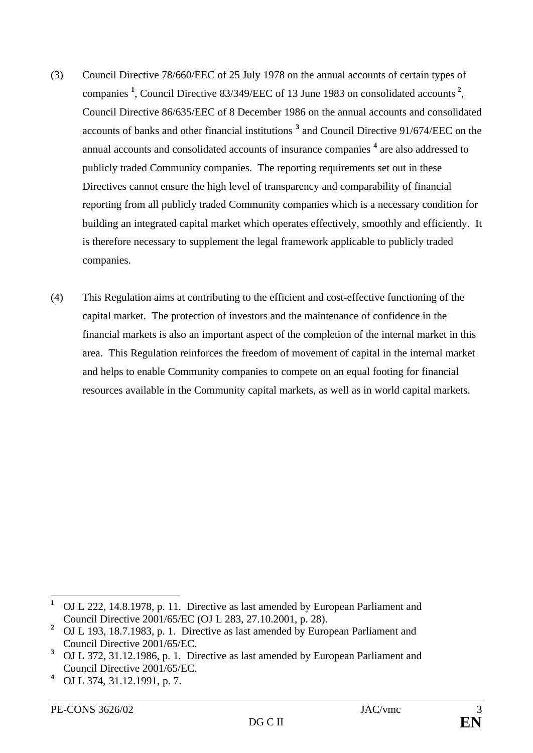- (3) Council Directive 78/660/EEC of 25 July 1978 on the annual accounts of certain types of companies **<sup>1</sup>** , Council Directive 83/349/EEC of 13 June 1983 on consolidated accounts **<sup>2</sup>** , Council Directive 86/635/EEC of 8 December 1986 on the annual accounts and consolidated accounts of banks and other financial institutions **<sup>3</sup>** and Council Directive 91/674/EEC on the annual accounts and consolidated accounts of insurance companies **<sup>4</sup>** are also addressed to publicly traded Community companies. The reporting requirements set out in these Directives cannot ensure the high level of transparency and comparability of financial reporting from all publicly traded Community companies which is a necessary condition for building an integrated capital market which operates effectively, smoothly and efficiently. It is therefore necessary to supplement the legal framework applicable to publicly traded companies.
- (4) This Regulation aims at contributing to the efficient and cost-effective functioning of the capital market. The protection of investors and the maintenance of confidence in the financial markets is also an important aspect of the completion of the internal market in this area. This Regulation reinforces the freedom of movement of capital in the internal market and helps to enable Community companies to compete on an equal footing for financial resources available in the Community capital markets, as well as in world capital markets.

 $\mathbf{1}$ **<sup>1</sup>** OJ L 222, 14.8.1978, p. 11. Directive as last amended by European Parliament and Council Directive 2001/65/EC (OJ L 283, 27.10.2001, p. 28).

**<sup>2</sup>** OJ L 193, 18.7.1983, p. 1. Directive as last amended by European Parliament and Council Directive 2001/65/EC.

**<sup>3</sup>** OJ L 372, 31.12.1986, p. 1. Directive as last amended by European Parliament and Council Directive 2001/65/EC.

**<sup>4</sup>** OJ L 374, 31.12.1991, p. 7.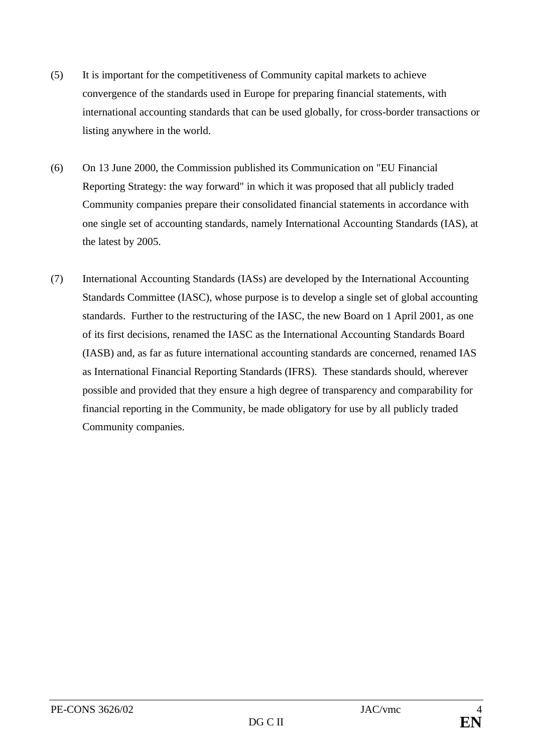- (5) It is important for the competitiveness of Community capital markets to achieve convergence of the standards used in Europe for preparing financial statements, with international accounting standards that can be used globally, for cross-border transactions or listing anywhere in the world.
- (6) On 13 June 2000, the Commission published its Communication on "EU Financial Reporting Strategy: the way forward" in which it was proposed that all publicly traded Community companies prepare their consolidated financial statements in accordance with one single set of accounting standards, namely International Accounting Standards (IAS), at the latest by 2005.
- (7) International Accounting Standards (IASs) are developed by the International Accounting Standards Committee (IASC), whose purpose is to develop a single set of global accounting standards. Further to the restructuring of the IASC, the new Board on 1 April 2001, as one of its first decisions, renamed the IASC as the International Accounting Standards Board (IASB) and, as far as future international accounting standards are concerned, renamed IAS as International Financial Reporting Standards (IFRS). These standards should, wherever possible and provided that they ensure a high degree of transparency and comparability for financial reporting in the Community, be made obligatory for use by all publicly traded Community companies.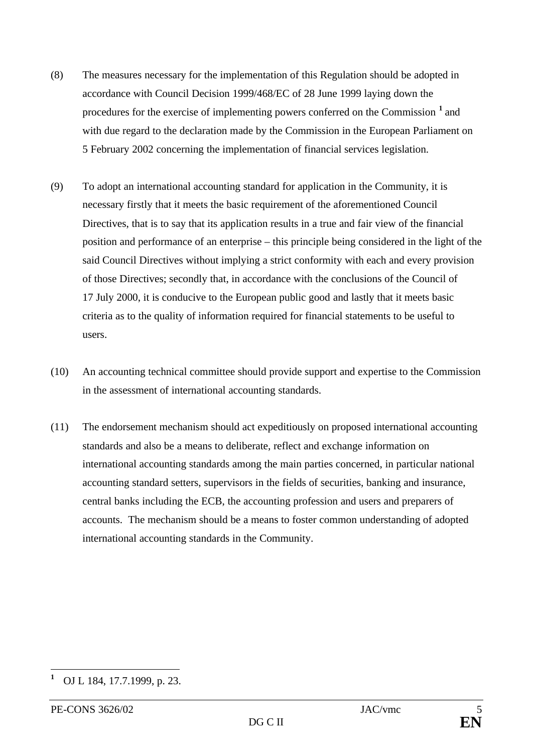- (8) The measures necessary for the implementation of this Regulation should be adopted in accordance with Council Decision 1999/468/EC of 28 June 1999 laying down the procedures for the exercise of implementing powers conferred on the Commission **<sup>1</sup>** and with due regard to the declaration made by the Commission in the European Parliament on 5 February 2002 concerning the implementation of financial services legislation.
- (9) To adopt an international accounting standard for application in the Community, it is necessary firstly that it meets the basic requirement of the aforementioned Council Directives, that is to say that its application results in a true and fair view of the financial position and performance of an enterprise – this principle being considered in the light of the said Council Directives without implying a strict conformity with each and every provision of those Directives; secondly that, in accordance with the conclusions of the Council of 17 July 2000, it is conducive to the European public good and lastly that it meets basic criteria as to the quality of information required for financial statements to be useful to users.
- (10) An accounting technical committee should provide support and expertise to the Commission in the assessment of international accounting standards.
- (11) The endorsement mechanism should act expeditiously on proposed international accounting standards and also be a means to deliberate, reflect and exchange information on international accounting standards among the main parties concerned, in particular national accounting standard setters, supervisors in the fields of securities, banking and insurance, central banks including the ECB, the accounting profession and users and preparers of accounts. The mechanism should be a means to foster common understanding of adopted international accounting standards in the Community.

 $\overline{a}$ 

**<sup>1</sup>** OJ L 184, 17.7.1999, p. 23.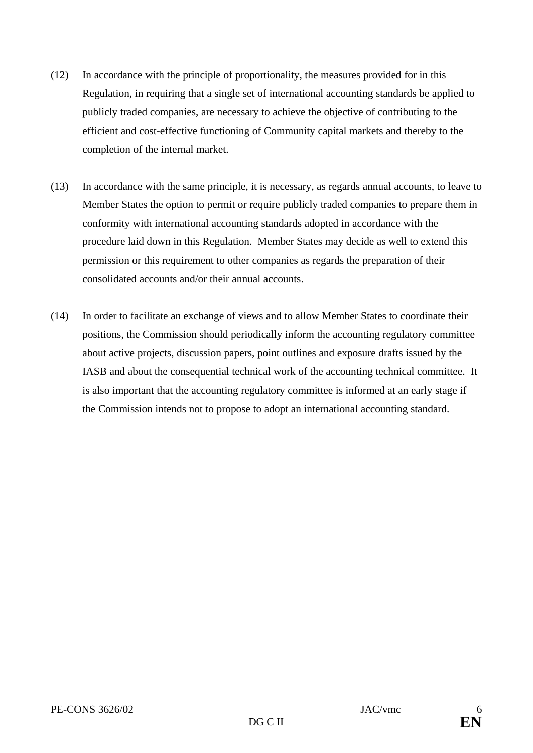- (12) In accordance with the principle of proportionality, the measures provided for in this Regulation, in requiring that a single set of international accounting standards be applied to publicly traded companies, are necessary to achieve the objective of contributing to the efficient and cost-effective functioning of Community capital markets and thereby to the completion of the internal market.
- (13) In accordance with the same principle, it is necessary, as regards annual accounts, to leave to Member States the option to permit or require publicly traded companies to prepare them in conformity with international accounting standards adopted in accordance with the procedure laid down in this Regulation. Member States may decide as well to extend this permission or this requirement to other companies as regards the preparation of their consolidated accounts and/or their annual accounts.
- (14) In order to facilitate an exchange of views and to allow Member States to coordinate their positions, the Commission should periodically inform the accounting regulatory committee about active projects, discussion papers, point outlines and exposure drafts issued by the IASB and about the consequential technical work of the accounting technical committee. It is also important that the accounting regulatory committee is informed at an early stage if the Commission intends not to propose to adopt an international accounting standard.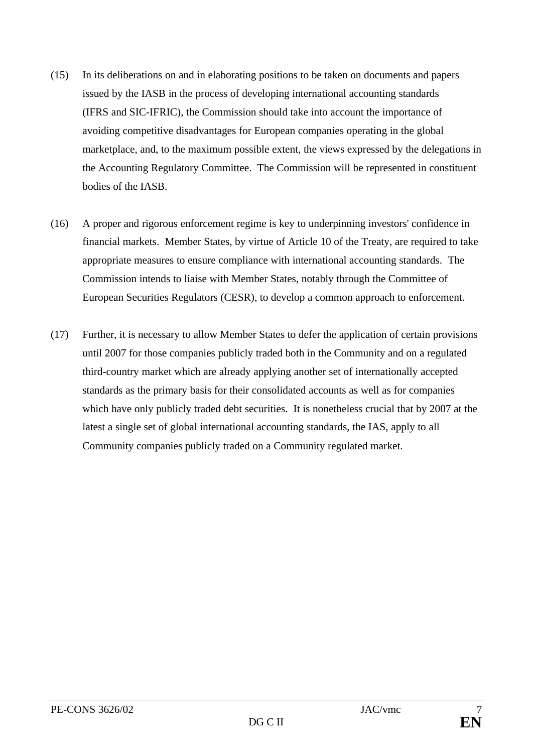- (15) In its deliberations on and in elaborating positions to be taken on documents and papers issued by the IASB in the process of developing international accounting standards (IFRS and SIC-IFRIC), the Commission should take into account the importance of avoiding competitive disadvantages for European companies operating in the global marketplace, and, to the maximum possible extent, the views expressed by the delegations in the Accounting Regulatory Committee. The Commission will be represented in constituent bodies of the IASB.
- (16) A proper and rigorous enforcement regime is key to underpinning investors' confidence in financial markets. Member States, by virtue of Article 10 of the Treaty, are required to take appropriate measures to ensure compliance with international accounting standards. The Commission intends to liaise with Member States, notably through the Committee of European Securities Regulators (CESR), to develop a common approach to enforcement.
- (17) Further, it is necessary to allow Member States to defer the application of certain provisions until 2007 for those companies publicly traded both in the Community and on a regulated third-country market which are already applying another set of internationally accepted standards as the primary basis for their consolidated accounts as well as for companies which have only publicly traded debt securities. It is nonetheless crucial that by 2007 at the latest a single set of global international accounting standards, the IAS, apply to all Community companies publicly traded on a Community regulated market.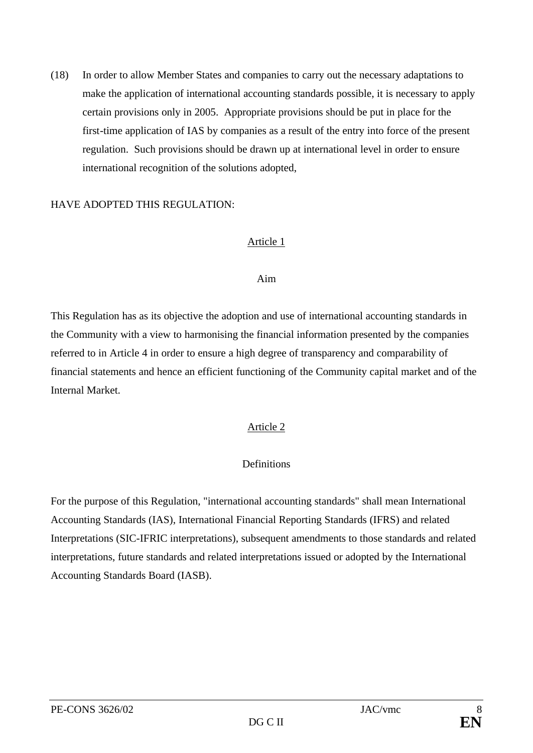(18) In order to allow Member States and companies to carry out the necessary adaptations to make the application of international accounting standards possible, it is necessary to apply certain provisions only in 2005. Appropriate provisions should be put in place for the first-time application of IAS by companies as a result of the entry into force of the present regulation. Such provisions should be drawn up at international level in order to ensure international recognition of the solutions adopted,

#### HAVE ADOPTED THIS REGULATION:

#### Article 1

#### Aim

This Regulation has as its objective the adoption and use of international accounting standards in the Community with a view to harmonising the financial information presented by the companies referred to in Article 4 in order to ensure a high degree of transparency and comparability of financial statements and hence an efficient functioning of the Community capital market and of the Internal Market.

# Article 2

# **Definitions**

For the purpose of this Regulation, "international accounting standards" shall mean International Accounting Standards (IAS), International Financial Reporting Standards (IFRS) and related Interpretations (SIC-IFRIC interpretations), subsequent amendments to those standards and related interpretations, future standards and related interpretations issued or adopted by the International Accounting Standards Board (IASB).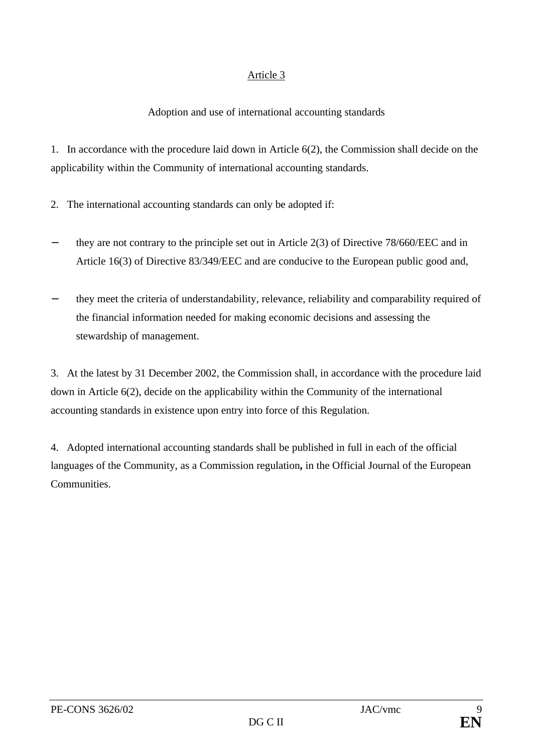# Adoption and use of international accounting standards

1. In accordance with the procedure laid down in Article 6(2), the Commission shall decide on the applicability within the Community of international accounting standards.

- 2. The international accounting standards can only be adopted if:
- they are not contrary to the principle set out in Article  $2(3)$  of Directive 78/660/EEC and in Article 16(3) of Directive 83/349/EEC and are conducive to the European public good and,
- they meet the criteria of understandability, relevance, reliability and comparability required of the financial information needed for making economic decisions and assessing the stewardship of management.

3. At the latest by 31 December 2002, the Commission shall, in accordance with the procedure laid down in Article 6(2), decide on the applicability within the Community of the international accounting standards in existence upon entry into force of this Regulation.

4. Adopted international accounting standards shall be published in full in each of the official languages of the Community, as a Commission regulation**,** in the Official Journal of the European Communities.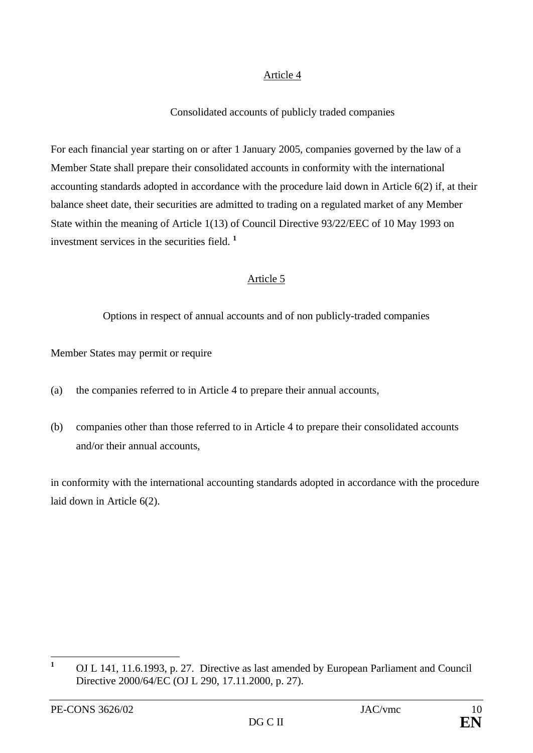# Consolidated accounts of publicly traded companies

For each financial year starting on or after 1 January 2005, companies governed by the law of a Member State shall prepare their consolidated accounts in conformity with the international accounting standards adopted in accordance with the procedure laid down in Article 6(2) if, at their balance sheet date, their securities are admitted to trading on a regulated market of any Member State within the meaning of Article 1(13) of Council Directive 93/22/EEC of 10 May 1993 on investment services in the securities field. **<sup>1</sup>**

# Article 5

Options in respect of annual accounts and of non publicly-traded companies

Member States may permit or require

- (a) the companies referred to in Article 4 to prepare their annual accounts,
- (b) companies other than those referred to in Article 4 to prepare their consolidated accounts and/or their annual accounts,

in conformity with the international accounting standards adopted in accordance with the procedure laid down in Article 6(2).

 $\mathbf{1}$ **<sup>1</sup>** OJ L 141, 11.6.1993, p. 27. Directive as last amended by European Parliament and Council Directive 2000/64/EC (OJ L 290, 17.11.2000, p. 27).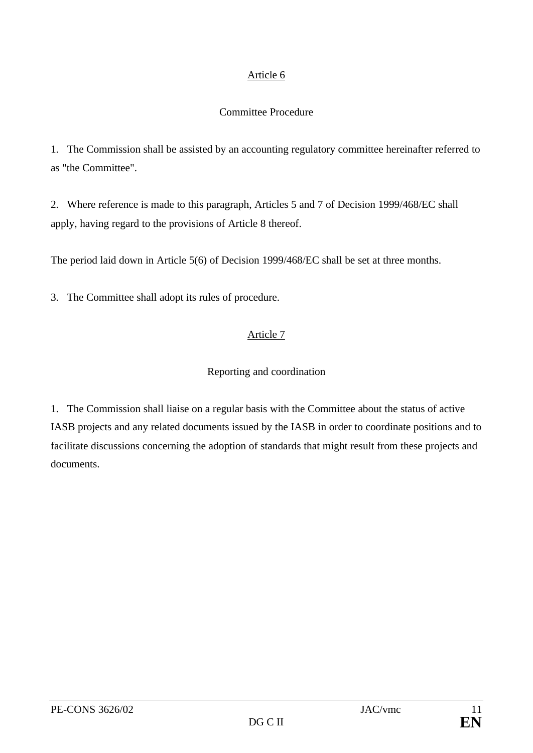#### Committee Procedure

1. The Commission shall be assisted by an accounting regulatory committee hereinafter referred to as "the Committee".

2. Where reference is made to this paragraph, Articles 5 and 7 of Decision 1999/468/EC shall apply, having regard to the provisions of Article 8 thereof.

The period laid down in Article 5(6) of Decision 1999/468/EC shall be set at three months.

3. The Committee shall adopt its rules of procedure.

# Article 7

# Reporting and coordination

1. The Commission shall liaise on a regular basis with the Committee about the status of active IASB projects and any related documents issued by the IASB in order to coordinate positions and to facilitate discussions concerning the adoption of standards that might result from these projects and documents.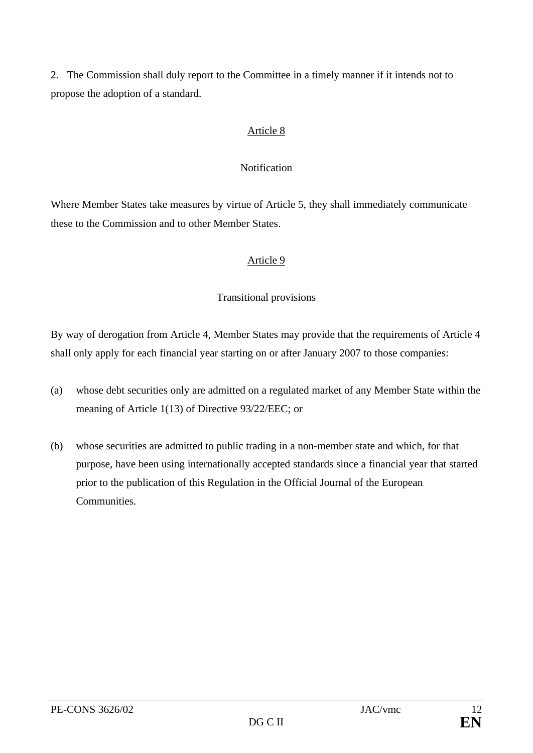2. The Commission shall duly report to the Committee in a timely manner if it intends not to propose the adoption of a standard.

# Article 8

# Notification

Where Member States take measures by virtue of Article 5, they shall immediately communicate these to the Commission and to other Member States.

# Article 9

# Transitional provisions

By way of derogation from Article 4, Member States may provide that the requirements of Article 4 shall only apply for each financial year starting on or after January 2007 to those companies:

- (a) whose debt securities only are admitted on a regulated market of any Member State within the meaning of Article 1(13) of Directive 93/22/EEC; or
- (b) whose securities are admitted to public trading in a non-member state and which, for that purpose, have been using internationally accepted standards since a financial year that started prior to the publication of this Regulation in the Official Journal of the European **Communities.**